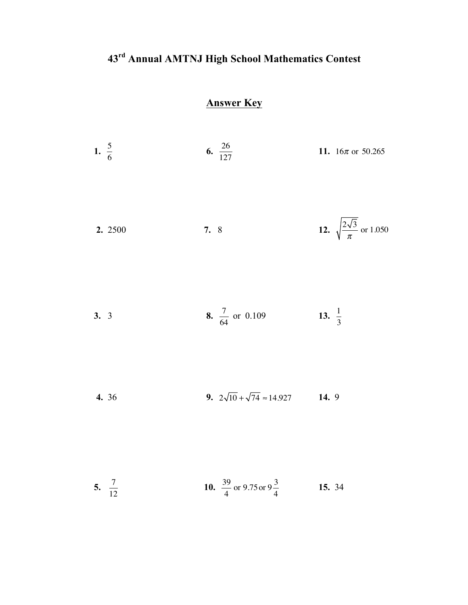## **43rd Annual AMTNJ High School Mathematics Contest**

## **Answer Key**

| 1. $\frac{5}{6}$ |                   | 6. $\frac{26}{127}$                           | 11. $16\pi$ or 50.265                       |
|------------------|-------------------|-----------------------------------------------|---------------------------------------------|
|                  | 2. 2500           | 7. 8                                          | 12. $\sqrt{\frac{2\sqrt{3}}{\pi}}$ or 1.050 |
| 3.3              |                   | 8. $\frac{7}{64}$ or 0.109                    | 13. $\frac{1}{3}$                           |
|                  | 4. 36             | 9. $2\sqrt{10} + \sqrt{74} \approx 14.927$    | 14.9                                        |
|                  | 5. $\frac{7}{12}$ | 10. $\frac{39}{4}$ or 9.75 or 9 $\frac{3}{4}$ | 15. 34                                      |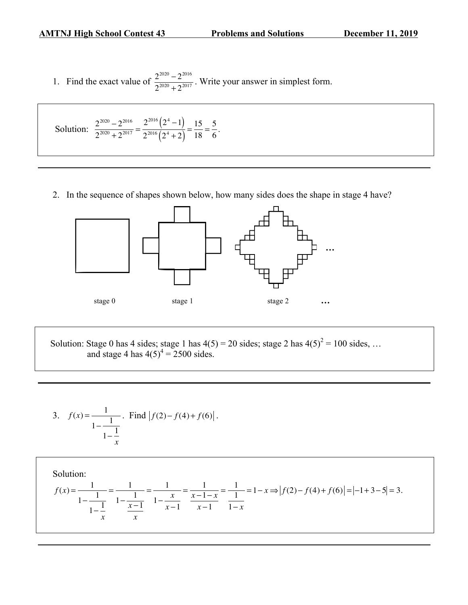1. Find the exact value of  $\frac{2^{2020} - 2^{2016}}{2^{2020} + 2^{2017}}$ . Write your answer in simplest form.

Solution: 
$$
\frac{2^{2020} - 2^{2016}}{2^{2020} + 2^{2017}} = \frac{2^{2016} (2^4 - 1)}{2^{2016} (2^4 + 2)} = \frac{15}{18} = \frac{5}{6}.
$$

2. In the sequence of shapes shown below, how many sides does the shape in stage 4 have?



Solution: Stage 0 has 4 sides; stage 1 has  $4(5) = 20$  sides; stage 2 has  $4(5)^2 = 100$  sides, ... and stage 4 has  $4(5)^4 = 2500$  sides.

3. 
$$
f(x) = \frac{1}{1 - \frac{1}{1 - \frac{1}{x}}}
$$
. Find  $|f(2) - f(4) + f(6)|$ .

Solution:  
\n
$$
f(x) = \frac{1}{1 - \frac{1}{1 - \frac{1}{x}}} = \frac{1}{1 - \frac{1}{1 - \frac{x}{x}}}
$$
\n
$$
= \frac{1}{1 - \frac{x}{x - 1}} = \frac{1}{1 - \frac{x}{x - 1}} = \frac{1}{1 - \frac{1}{1 - x}} = \frac{1}{1 - x} = 1 - x \Rightarrow |f(2) - f(4) + f(6)| = |-1 + 3 - 5| = 3.
$$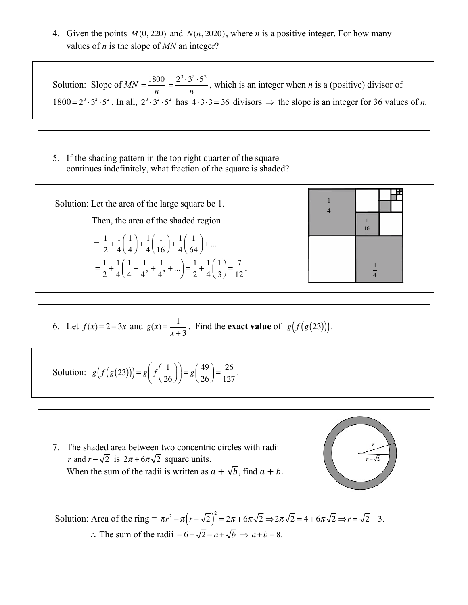4. Given the points *M* (0, 220) and *N*(*n*, 2020), where *n* is a positive integer. For how many values of *n* is the slope of *MN* an integer?

Solution: Slope of  $MN = \frac{1800}{n} = \frac{2^3 \cdot 3^2 \cdot 5^2}{n}$ , which is an integer when *n* is a (positive) divisor of 1800 =  $2^3 \cdot 3^2 \cdot 5^2$ . In all,  $2^3 \cdot 3^2 \cdot 5^2$  has  $4 \cdot 3 \cdot 3 = 36$  divisors  $\Rightarrow$  the slope is an integer for 36 values of *n*.

5. If the shading pattern in the top right quarter of the square continues indefinitely, what fraction of the square is shaded?



6. Let 
$$
f(x)=2-3x
$$
 and  $g(x)=\frac{1}{x+3}$ . Find the **exact value** of  $g(f(g(23)))$ .

Solution: 
$$
g(f(g(23))) = g\left(f\left(\frac{1}{26}\right)\right) = g\left(\frac{49}{26}\right) = \frac{26}{127}.
$$

7. The shaded area between two concentric circles with radii *r* and  $r - \sqrt{2}$  is  $2\pi + 6\pi\sqrt{2}$  square units. When the sum of the radii is written as  $a + \sqrt{b}$ , find  $a + b$ .



Solution: Area of the ring =  $\pi r^2 - \pi (r - \sqrt{2})^2 = 2\pi + 6\pi\sqrt{2} \Rightarrow 2\pi\sqrt{2} = 4 + 6\pi\sqrt{2} \Rightarrow r = \sqrt{2} + 3$ . ∴ The sum of the radii =  $6 + \sqrt{2} = a + \sqrt{b} \implies a + b = 8$ .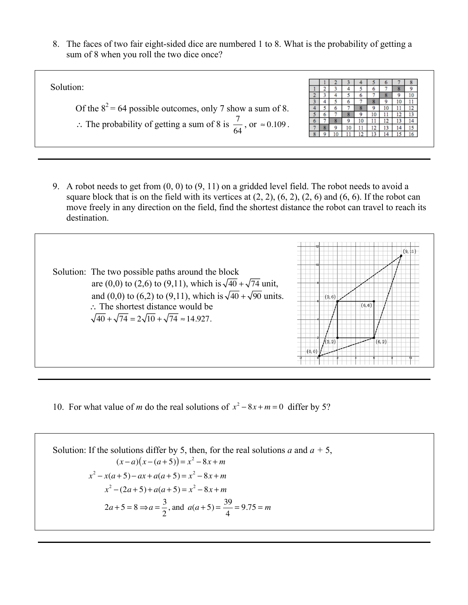8. The faces of two fair eight-sided dice are numbered 1 to 8. What is the probability of getting a sum of 8 when you roll the two dice once?

| Solution:                                                              |  |  |  |  |  |
|------------------------------------------------------------------------|--|--|--|--|--|
|                                                                        |  |  |  |  |  |
|                                                                        |  |  |  |  |  |
| Of the $8^2$ = 64 possible outcomes, only 7 show a sum of 8.           |  |  |  |  |  |
|                                                                        |  |  |  |  |  |
| ∴ The probability of getting a sum of 8 is $\frac{7}{64}$ , or ≈0.109. |  |  |  |  |  |
|                                                                        |  |  |  |  |  |
|                                                                        |  |  |  |  |  |
|                                                                        |  |  |  |  |  |

9. A robot needs to get from (0, 0) to (9, 11) on a gridded level field. The robot needs to avoid a square block that is on the field with its vertices at  $(2, 2)$ ,  $(6, 2)$ ,  $(2, 6)$  and  $(6, 6)$ . If the robot can move freely in any direction on the field, find the shortest distance the robot can travel to reach its destination.



10. For what value of *m* do the real solutions of  $x^2 - 8x + m = 0$  differ by 5?

Solution: If the solutions differ by 5, then, for the real solutions *a* and *a* + 5,  
\n
$$
(x-a)(x-(a+5)) = x^2 - 8x + m
$$
\n
$$
x^2 - x(a+5) - ax + a(a+5) = x^2 - 8x + m
$$
\n
$$
x^2 - (2a+5) + a(a+5) = x^2 - 8x + m
$$
\n
$$
2a+5=8 \Rightarrow a = \frac{3}{2}, \text{ and } a(a+5) = \frac{39}{4} = 9.75 = m
$$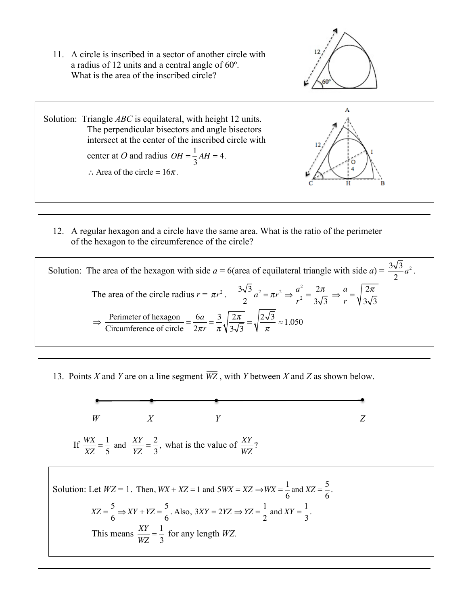11. A circle is inscribed in a sector of another circle with a radius of 12 units and a central angle of 60º. What is the area of the inscribed circle?





12. A regular hexagon and a circle have the same area. What is the ratio of the perimeter of the hexagon to the circumference of the circle?

Solution: The area of the hexagon with side 
$$
a = 6
$$
(area of equilateral triangle with side  $a = \frac{3\sqrt{3}}{2}a^2$ .  
\nThe area of the circle radius  $r = \pi r^2$ . 
$$
\frac{3\sqrt{3}}{2}a^2 = \pi r^2 \Rightarrow \frac{a^2}{r^2} = \frac{2\pi}{3\sqrt{3}} \Rightarrow \frac{a}{r} = \sqrt{\frac{2\pi}{3\sqrt{3}}}
$$
\n
$$
\Rightarrow \frac{\text{Perimeter of hexagon}}{\text{Circumference of circle}} = \frac{6a}{2\pi r} = \frac{3}{\pi} \sqrt{\frac{2\pi}{3\sqrt{3}}} = \sqrt{\frac{2\sqrt{3}}{\pi}} \approx 1.050
$$

13. Points *X* and *Y* are on a line segment *WZ* , with *Y* between *X* and *Z* as shown below.



Solution: Let 
$$
WZ = 1
$$
. Then,  $WX + XZ = 1$  and  $5WX = XZ \Rightarrow WX = \frac{1}{6}$  and  $XZ = \frac{5}{6}$ .  
\n $XZ = \frac{5}{6} \Rightarrow XY + YZ = \frac{5}{6}$ . Also,  $3XY = 2YZ \Rightarrow YZ = \frac{1}{2}$  and  $XY = \frac{1}{3}$ .  
\nThis means  $\frac{XY}{WZ} = \frac{1}{3}$  for any length WZ.